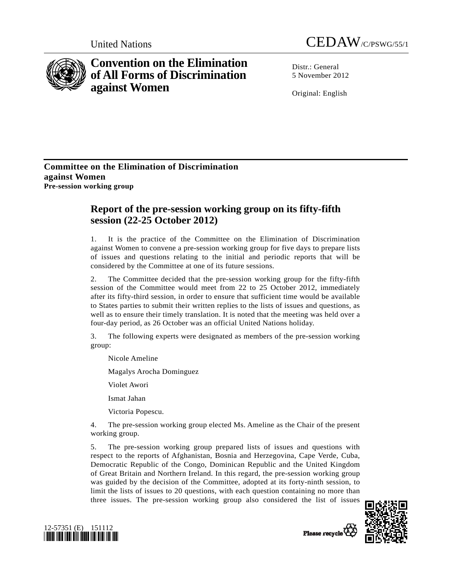

## **Convention on the Elimination of All Forms of Discrimination against Women**



Distr · General 5 November 2012

Original: English

## **Committee on the Elimination of Discrimination against Women Pre-session working group**

## **Report of the pre-session working group on its fifty-fifth session (22-25 October 2012)**

1. It is the practice of the Committee on the Elimination of Discrimination against Women to convene a pre-session working group for five days to prepare lists of issues and questions relating to the initial and periodic reports that will be considered by the Committee at one of its future sessions.

2. The Committee decided that the pre-session working group for the fifty-fifth session of the Committee would meet from 22 to 25 October 2012, immediately after its fifty-third session, in order to ensure that sufficient time would be available to States parties to submit their written replies to the lists of issues and questions, as well as to ensure their timely translation. It is noted that the meeting was held over a four-day period, as 26 October was an official United Nations holiday.

3. The following experts were designated as members of the pre-session working group:

Nicole Ameline

Magalys Arocha Dominguez

Violet Awori

Ismat Jahan

Victoria Popescu.

4. The pre-session working group elected Ms. Ameline as the Chair of the present working group.

5. The pre-session working group prepared lists of issues and questions with respect to the reports of Afghanistan, Bosnia and Herzegovina, Cape Verde, Cuba, Democratic Republic of the Congo, Dominican Republic and the United Kingdom of Great Britain and Northern Ireland. In this regard, the pre-session working group was guided by the decision of the Committee, adopted at its forty-ninth session, to limit the lists of issues to 20 questions, with each question containing no more than three issues. The pre-session working group also considered the list of issues